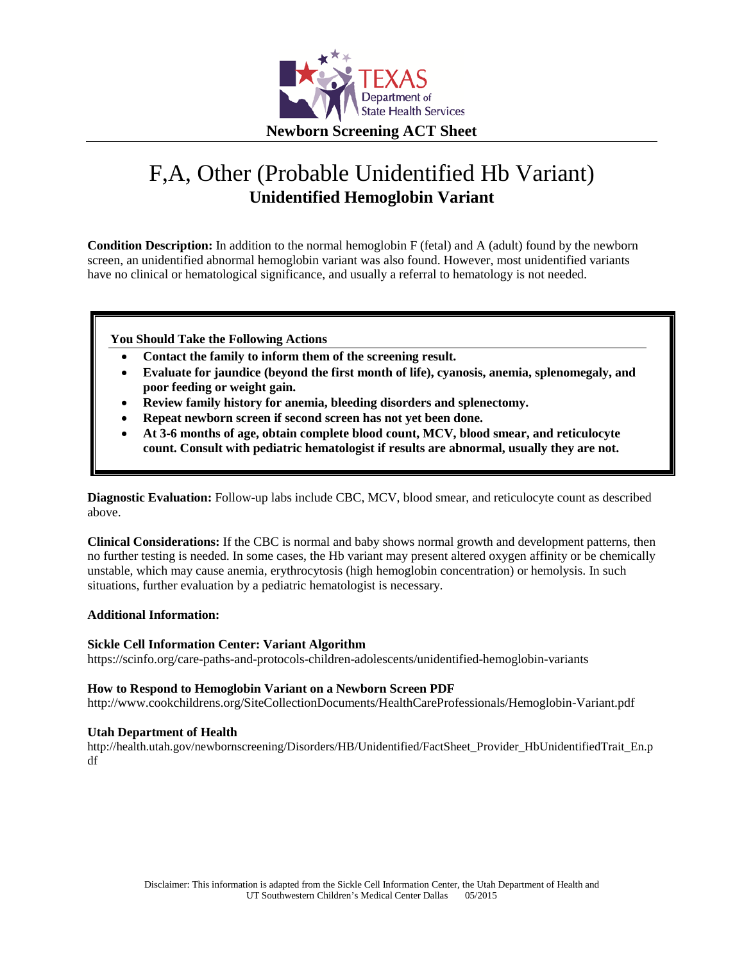

# F,A, Other (Probable Unidentified Hb Variant) **Unidentified Hemoglobin Variant**

**Condition Description:** In addition to the normal hemoglobin F (fetal) and A (adult) found by the newborn screen, an unidentified abnormal hemoglobin variant was also found. However, most unidentified variants have no clinical or hematological significance, and usually a referral to hematology is not needed.

**You Should Take the Following Actions**

- **Contact the family to inform them of the screening result.**
- **Evaluate for jaundice (beyond the first month of life), cyanosis, anemia, splenomegaly, and poor feeding or weight gain.**
- **Review family history for anemia, bleeding disorders and splenectomy.**
- **Repeat newborn screen if second screen has not yet been done.**
- **At 3-6 months of age, obtain complete blood count, MCV, blood smear, and reticulocyte count. Consult with pediatric hematologist if results are abnormal, usually they are not.**

**Diagnostic Evaluation:** Follow-up labs include CBC, MCV, blood smear, and reticulocyte count as described above.

**Clinical Considerations:** If the CBC is normal and baby shows normal growth and development patterns, then no further testing is needed. In some cases, the Hb variant may present altered oxygen affinity or be chemically unstable, which may cause anemia, erythrocytosis (high hemoglobin concentration) or hemolysis. In such situations, further evaluation by a pediatric hematologist is necessary.

#### **Additional Information:**

#### **Sickle Cell Information Center: Variant Algorithm**

https://scinfo.org/care-paths-and-protocols-children-adolescents/unidentified-hemoglobin-variants

#### **How to Respond to Hemoglobin Variant on a Newborn Screen PDF**

http://www.cookchildrens.org/SiteCollectionDocuments/HealthCareProfessionals/Hemoglobin-Variant.pdf

#### **Utah Department of Health**

http://health.utah.gov/newbornscreening/Disorders/HB/Unidentified/FactSheet\_Provider\_HbUnidentifiedTrait\_En.p df